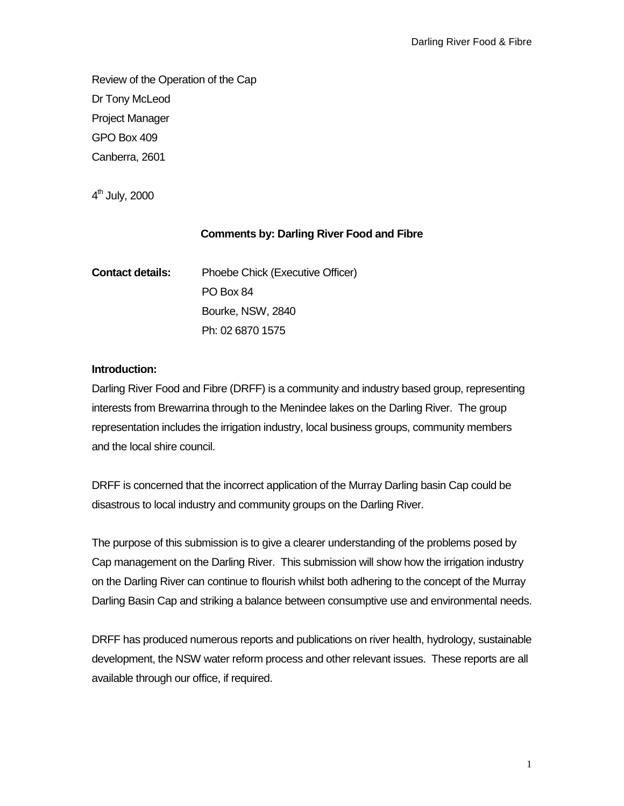Review of the Operation of the Cap Dr Tony McLeod Project Manager GPO Box 409 Canberra, 2601

 $4<sup>th</sup>$  July, 2000

## **Comments by: Darling River Food and Fibre**

| <b>Contact details:</b> | Phoebe Chick (Executive Officer) |
|-------------------------|----------------------------------|
|                         | PO Box 84                        |
|                         | Bourke, NSW, 2840                |
|                         | Ph: 02 6870 1575                 |

## **Introduction:**

Darling River Food and Fibre (DRFF) is a community and industry based group, representing interests from Brewarrina through to the Menindee lakes on the Darling River. The group representation includes the irrigation industry, local business groups, community members and the local shire council.

DRFF is concerned that the incorrect application of the Murray Darling basin Cap could be disastrous to local industry and community groups on the Darling River.

The purpose of this submission is to give a clearer understanding of the problems posed by Cap management on the Darling River. This submission will show how the irrigation industry on the Darling River can continue to flourish whilst both adhering to the concept of the Murray Darling Basin Cap and striking a balance between consumptive use and environmental needs.

DRFF has produced numerous reports and publications on river health, hydrology, sustainable development, the NSW water reform process and other relevant issues. These reports are all available through our office, if required.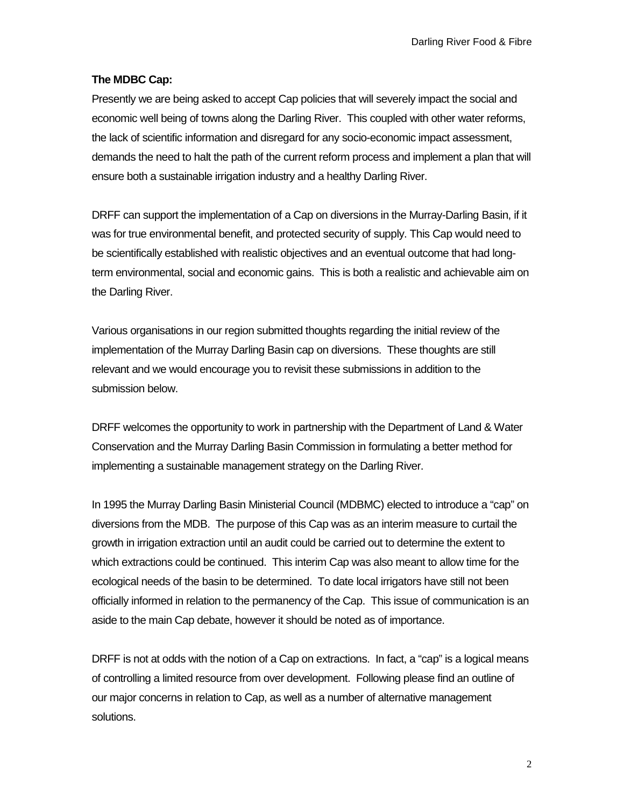## **The MDBC Cap:**

Presently we are being asked to accept Cap policies that will severely impact the social and economic well being of towns along the Darling River. This coupled with other water reforms, the lack of scientific information and disregard for any socio-economic impact assessment, demands the need to halt the path of the current reform process and implement a plan that will ensure both a sustainable irrigation industry and a healthy Darling River.

DRFF can support the implementation of a Cap on diversions in the Murray-Darling Basin, if it was for true environmental benefit, and protected security of supply. This Cap would need to be scientifically established with realistic objectives and an eventual outcome that had longterm environmental, social and economic gains. This is both a realistic and achievable aim on the Darling River.

Various organisations in our region submitted thoughts regarding the initial review of the implementation of the Murray Darling Basin cap on diversions. These thoughts are still relevant and we would encourage you to revisit these submissions in addition to the submission below.

DRFF welcomes the opportunity to work in partnership with the Department of Land & Water Conservation and the Murray Darling Basin Commission in formulating a better method for implementing a sustainable management strategy on the Darling River.

In 1995 the Murray Darling Basin Ministerial Council (MDBMC) elected to introduce a "cap" on diversions from the MDB. The purpose of this Cap was as an interim measure to curtail the growth in irrigation extraction until an audit could be carried out to determine the extent to which extractions could be continued. This interim Cap was also meant to allow time for the ecological needs of the basin to be determined. To date local irrigators have still not been officially informed in relation to the permanency of the Cap. This issue of communication is an aside to the main Cap debate, however it should be noted as of importance.

DRFF is not at odds with the notion of a Cap on extractions. In fact, a "cap" is a logical means of controlling a limited resource from over development. Following please find an outline of our major concerns in relation to Cap, as well as a number of alternative management solutions.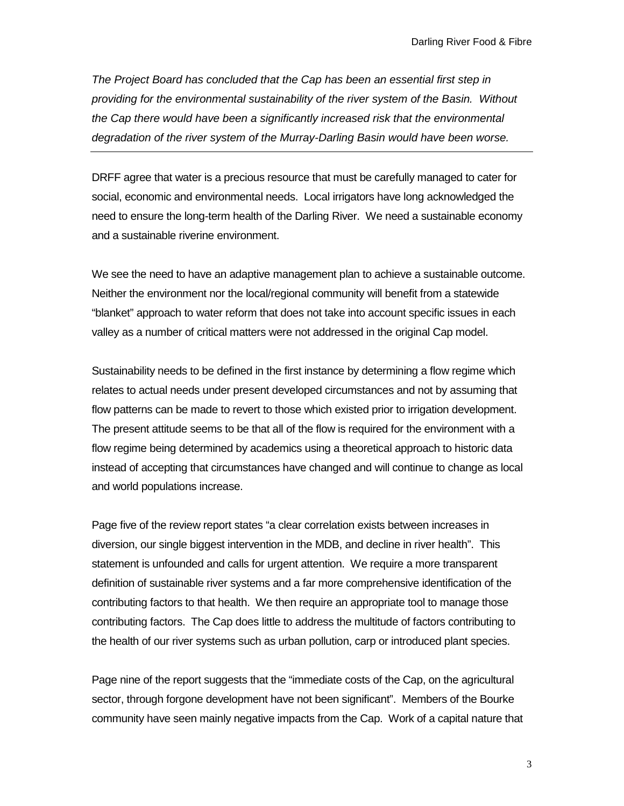*The Project Board has concluded that the Cap has been an essential first step in providing for the environmental sustainability of the river system of the Basin. Without the Cap there would have been a significantly increased risk that the environmental degradation of the river system of the Murray-Darling Basin would have been worse.*

DRFF agree that water is a precious resource that must be carefully managed to cater for social, economic and environmental needs. Local irrigators have long acknowledged the need to ensure the long-term health of the Darling River. We need a sustainable economy and a sustainable riverine environment.

We see the need to have an adaptive management plan to achieve a sustainable outcome. Neither the environment nor the local/regional community will benefit from a statewide "blanket" approach to water reform that does not take into account specific issues in each valley as a number of critical matters were not addressed in the original Cap model.

Sustainability needs to be defined in the first instance by determining a flow regime which relates to actual needs under present developed circumstances and not by assuming that flow patterns can be made to revert to those which existed prior to irrigation development. The present attitude seems to be that all of the flow is required for the environment with a flow regime being determined by academics using a theoretical approach to historic data instead of accepting that circumstances have changed and will continue to change as local and world populations increase.

Page five of the review report states "a clear correlation exists between increases in diversion, our single biggest intervention in the MDB, and decline in river health". This statement is unfounded and calls for urgent attention. We require a more transparent definition of sustainable river systems and a far more comprehensive identification of the contributing factors to that health. We then require an appropriate tool to manage those contributing factors. The Cap does little to address the multitude of factors contributing to the health of our river systems such as urban pollution, carp or introduced plant species.

Page nine of the report suggests that the "immediate costs of the Cap, on the agricultural sector, through forgone development have not been significant". Members of the Bourke community have seen mainly negative impacts from the Cap. Work of a capital nature that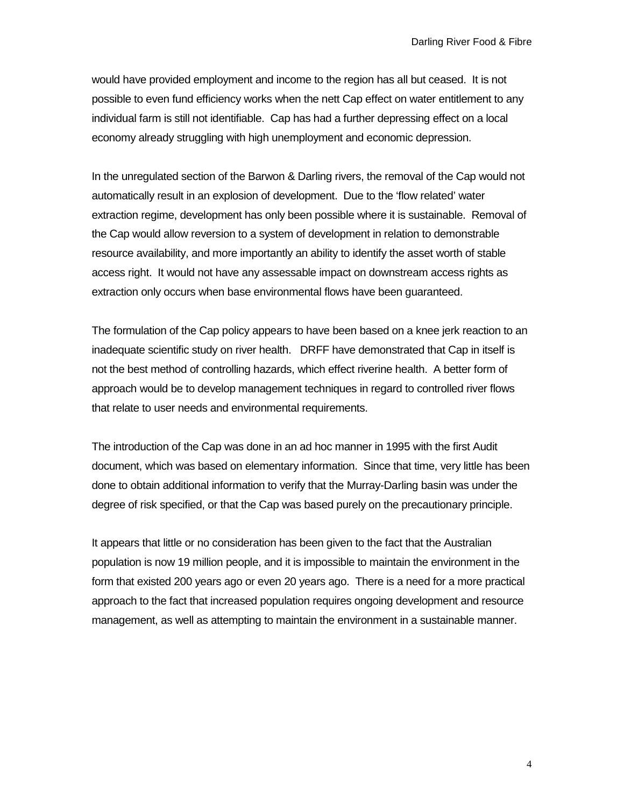would have provided employment and income to the region has all but ceased. It is not possible to even fund efficiency works when the nett Cap effect on water entitlement to any individual farm is still not identifiable. Cap has had a further depressing effect on a local economy already struggling with high unemployment and economic depression.

In the unregulated section of the Barwon & Darling rivers, the removal of the Cap would not automatically result in an explosion of development. Due to the 'flow related' water extraction regime, development has only been possible where it is sustainable. Removal of the Cap would allow reversion to a system of development in relation to demonstrable resource availability, and more importantly an ability to identify the asset worth of stable access right. It would not have any assessable impact on downstream access rights as extraction only occurs when base environmental flows have been guaranteed.

The formulation of the Cap policy appears to have been based on a knee jerk reaction to an inadequate scientific study on river health. DRFF have demonstrated that Cap in itself is not the best method of controlling hazards, which effect riverine health. A better form of approach would be to develop management techniques in regard to controlled river flows that relate to user needs and environmental requirements.

The introduction of the Cap was done in an ad hoc manner in 1995 with the first Audit document, which was based on elementary information. Since that time, very little has been done to obtain additional information to verify that the Murray-Darling basin was under the degree of risk specified, or that the Cap was based purely on the precautionary principle.

It appears that little or no consideration has been given to the fact that the Australian population is now 19 million people, and it is impossible to maintain the environment in the form that existed 200 years ago or even 20 years ago. There is a need for a more practical approach to the fact that increased population requires ongoing development and resource management, as well as attempting to maintain the environment in a sustainable manner.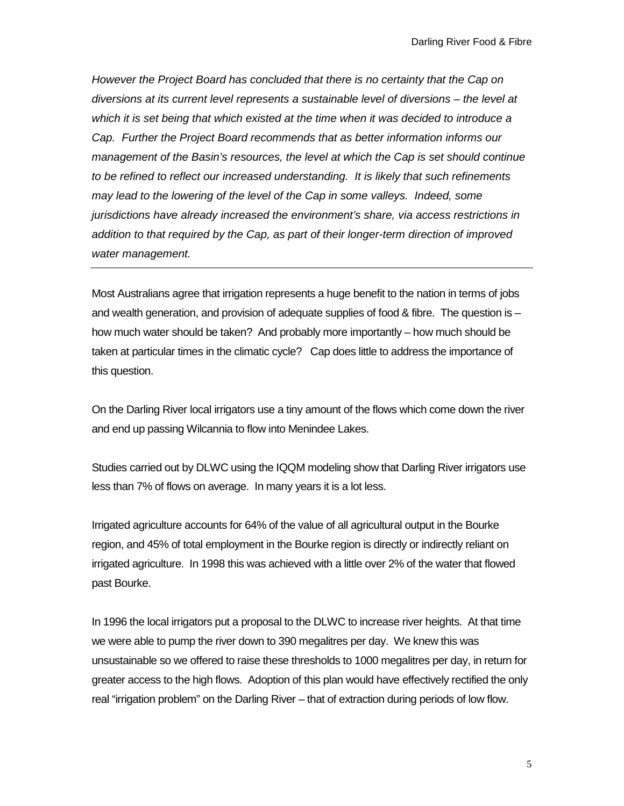*However the Project Board has concluded that there is no certainty that the Cap on diversions at its current level represents a sustainable level of diversions – the level at which it is set being that which existed at the time when it was decided to introduce a Cap. Further the Project Board recommends that as better information informs our management of the Basin's resources, the level at which the Cap is set should continue to be refined to reflect our increased understanding. It is likely that such refinements may lead to the lowering of the level of the Cap in some valleys. Indeed, some jurisdictions have already increased the environment's share, via access restrictions in addition to that required by the Cap, as part of their longer-term direction of improved water management.*

Most Australians agree that irrigation represents a huge benefit to the nation in terms of jobs and wealth generation, and provision of adequate supplies of food & fibre. The question is – how much water should be taken? And probably more importantly – how much should be taken at particular times in the climatic cycle? Cap does little to address the importance of this question.

On the Darling River local irrigators use a tiny amount of the flows which come down the river and end up passing Wilcannia to flow into Menindee Lakes.

Studies carried out by DLWC using the IQQM modeling show that Darling River irrigators use less than 7% of flows on average. In many years it is a lot less.

Irrigated agriculture accounts for 64% of the value of all agricultural output in the Bourke region, and 45% of total employment in the Bourke region is directly or indirectly reliant on irrigated agriculture. In 1998 this was achieved with a little over 2% of the water that flowed past Bourke.

In 1996 the local irrigators put a proposal to the DLWC to increase river heights. At that time we were able to pump the river down to 390 megalitres per day. We knew this was unsustainable so we offered to raise these thresholds to 1000 megalitres per day, in return for greater access to the high flows. Adoption of this plan would have effectively rectified the only real "irrigation problem" on the Darling River – that of extraction during periods of low flow.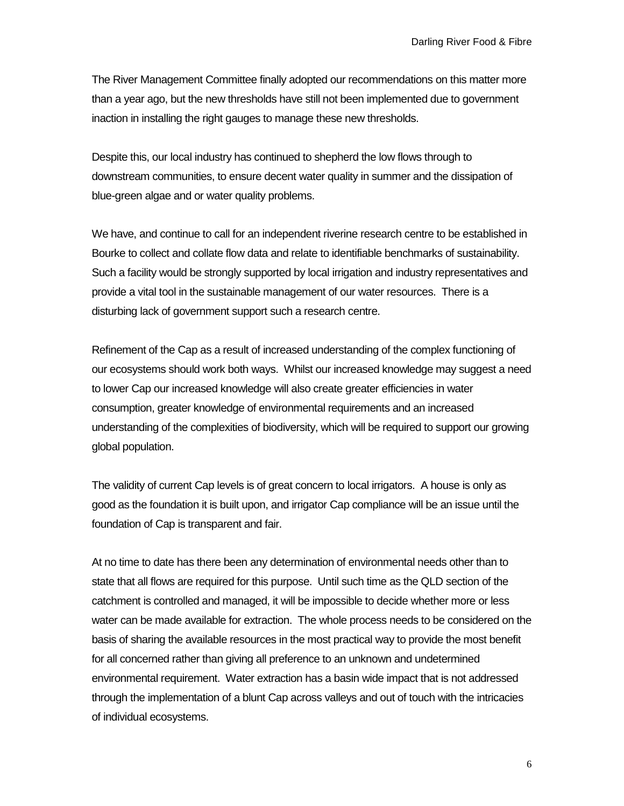The River Management Committee finally adopted our recommendations on this matter more than a year ago, but the new thresholds have still not been implemented due to government inaction in installing the right gauges to manage these new thresholds.

Despite this, our local industry has continued to shepherd the low flows through to downstream communities, to ensure decent water quality in summer and the dissipation of blue-green algae and or water quality problems.

We have, and continue to call for an independent riverine research centre to be established in Bourke to collect and collate flow data and relate to identifiable benchmarks of sustainability. Such a facility would be strongly supported by local irrigation and industry representatives and provide a vital tool in the sustainable management of our water resources. There is a disturbing lack of government support such a research centre.

Refinement of the Cap as a result of increased understanding of the complex functioning of our ecosystems should work both ways. Whilst our increased knowledge may suggest a need to lower Cap our increased knowledge will also create greater efficiencies in water consumption, greater knowledge of environmental requirements and an increased understanding of the complexities of biodiversity, which will be required to support our growing global population.

The validity of current Cap levels is of great concern to local irrigators. A house is only as good as the foundation it is built upon, and irrigator Cap compliance will be an issue until the foundation of Cap is transparent and fair.

At no time to date has there been any determination of environmental needs other than to state that all flows are required for this purpose. Until such time as the QLD section of the catchment is controlled and managed, it will be impossible to decide whether more or less water can be made available for extraction. The whole process needs to be considered on the basis of sharing the available resources in the most practical way to provide the most benefit for all concerned rather than giving all preference to an unknown and undetermined environmental requirement. Water extraction has a basin wide impact that is not addressed through the implementation of a blunt Cap across valleys and out of touch with the intricacies of individual ecosystems.

6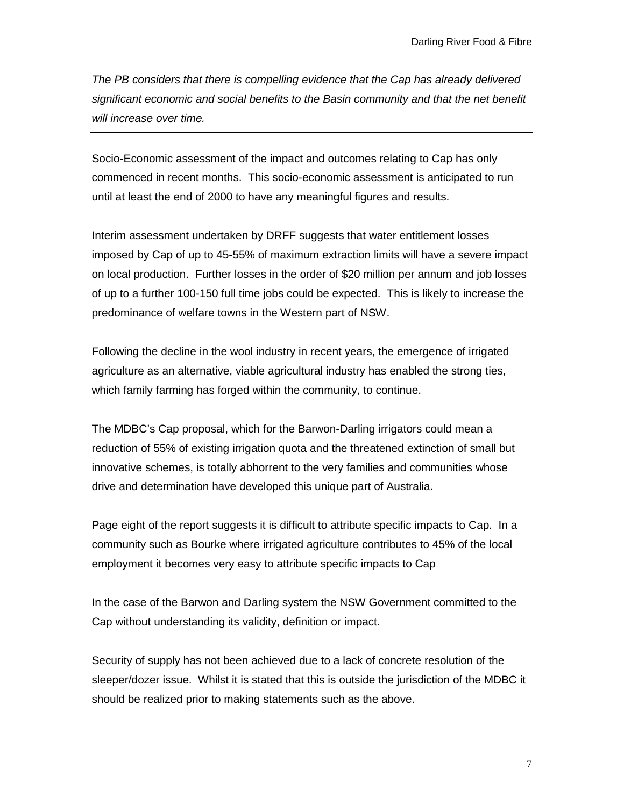*The PB considers that there is compelling evidence that the Cap has already delivered significant economic and social benefits to the Basin community and that the net benefit will increase over time.*

Socio-Economic assessment of the impact and outcomes relating to Cap has only commenced in recent months. This socio-economic assessment is anticipated to run until at least the end of 2000 to have any meaningful figures and results.

Interim assessment undertaken by DRFF suggests that water entitlement losses imposed by Cap of up to 45-55% of maximum extraction limits will have a severe impact on local production. Further losses in the order of \$20 million per annum and job losses of up to a further 100-150 full time jobs could be expected. This is likely to increase the predominance of welfare towns in the Western part of NSW.

Following the decline in the wool industry in recent years, the emergence of irrigated agriculture as an alternative, viable agricultural industry has enabled the strong ties, which family farming has forged within the community, to continue.

The MDBC's Cap proposal, which for the Barwon-Darling irrigators could mean a reduction of 55% of existing irrigation quota and the threatened extinction of small but innovative schemes, is totally abhorrent to the very families and communities whose drive and determination have developed this unique part of Australia.

Page eight of the report suggests it is difficult to attribute specific impacts to Cap. In a community such as Bourke where irrigated agriculture contributes to 45% of the local employment it becomes very easy to attribute specific impacts to Cap

In the case of the Barwon and Darling system the NSW Government committed to the Cap without understanding its validity, definition or impact.

Security of supply has not been achieved due to a lack of concrete resolution of the sleeper/dozer issue. Whilst it is stated that this is outside the jurisdiction of the MDBC it should be realized prior to making statements such as the above.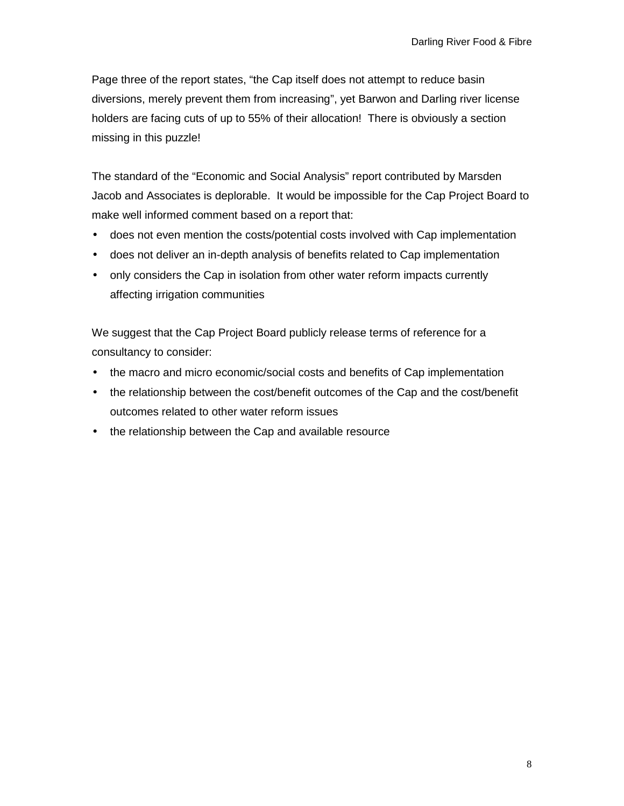Page three of the report states, "the Cap itself does not attempt to reduce basin diversions, merely prevent them from increasing", yet Barwon and Darling river license holders are facing cuts of up to 55% of their allocation! There is obviously a section missing in this puzzle!

The standard of the "Economic and Social Analysis" report contributed by Marsden Jacob and Associates is deplorable. It would be impossible for the Cap Project Board to make well informed comment based on a report that:

- does not even mention the costs/potential costs involved with Cap implementation
- does not deliver an in-depth analysis of benefits related to Cap implementation
- only considers the Cap in isolation from other water reform impacts currently affecting irrigation communities

We suggest that the Cap Project Board publicly release terms of reference for a consultancy to consider:

- the macro and micro economic/social costs and benefits of Cap implementation
- the relationship between the cost/benefit outcomes of the Cap and the cost/benefit outcomes related to other water reform issues
- the relationship between the Cap and available resource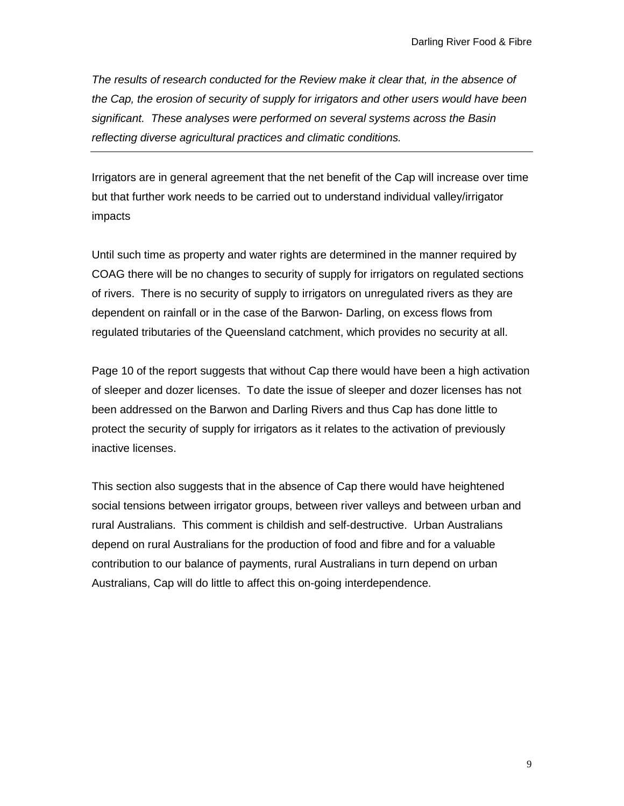*The results of research conducted for the Review make it clear that, in the absence of the Cap, the erosion of security of supply for irrigators and other users would have been significant. These analyses were performed on several systems across the Basin reflecting diverse agricultural practices and climatic conditions.*

Irrigators are in general agreement that the net benefit of the Cap will increase over time but that further work needs to be carried out to understand individual valley/irrigator impacts

Until such time as property and water rights are determined in the manner required by COAG there will be no changes to security of supply for irrigators on regulated sections of rivers. There is no security of supply to irrigators on unregulated rivers as they are dependent on rainfall or in the case of the Barwon- Darling, on excess flows from regulated tributaries of the Queensland catchment, which provides no security at all.

Page 10 of the report suggests that without Cap there would have been a high activation of sleeper and dozer licenses. To date the issue of sleeper and dozer licenses has not been addressed on the Barwon and Darling Rivers and thus Cap has done little to protect the security of supply for irrigators as it relates to the activation of previously inactive licenses.

This section also suggests that in the absence of Cap there would have heightened social tensions between irrigator groups, between river valleys and between urban and rural Australians. This comment is childish and self-destructive. Urban Australians depend on rural Australians for the production of food and fibre and for a valuable contribution to our balance of payments, rural Australians in turn depend on urban Australians, Cap will do little to affect this on-going interdependence.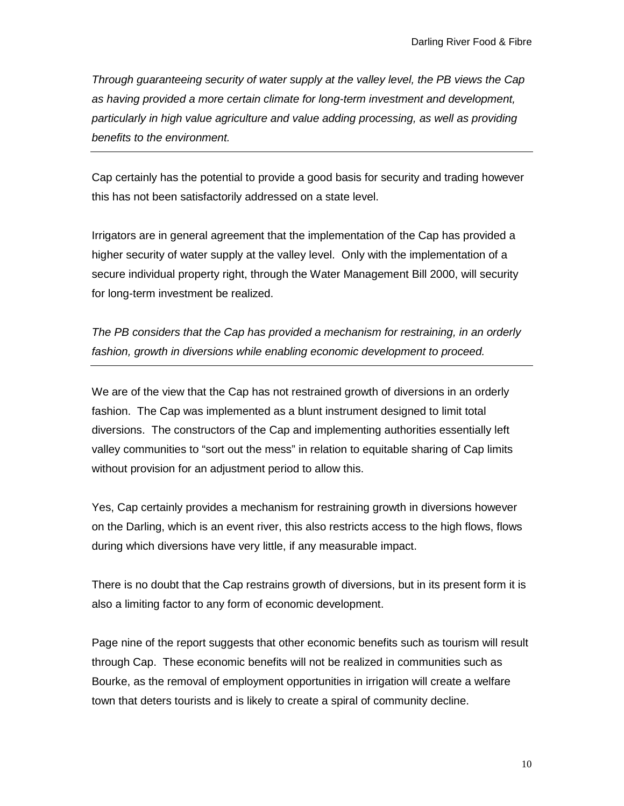*Through guaranteeing security of water supply at the valley level, the PB views the Cap as having provided a more certain climate for long-term investment and development, particularly in high value agriculture and value adding processing, as well as providing benefits to the environment.*

Cap certainly has the potential to provide a good basis for security and trading however this has not been satisfactorily addressed on a state level.

Irrigators are in general agreement that the implementation of the Cap has provided a higher security of water supply at the valley level. Only with the implementation of a secure individual property right, through the Water Management Bill 2000, will security for long-term investment be realized.

*The PB considers that the Cap has provided a mechanism for restraining, in an orderly fashion, growth in diversions while enabling economic development to proceed.*

We are of the view that the Cap has not restrained growth of diversions in an orderly fashion. The Cap was implemented as a blunt instrument designed to limit total diversions. The constructors of the Cap and implementing authorities essentially left valley communities to "sort out the mess" in relation to equitable sharing of Cap limits without provision for an adjustment period to allow this.

Yes, Cap certainly provides a mechanism for restraining growth in diversions however on the Darling, which is an event river, this also restricts access to the high flows, flows during which diversions have very little, if any measurable impact.

There is no doubt that the Cap restrains growth of diversions, but in its present form it is also a limiting factor to any form of economic development.

Page nine of the report suggests that other economic benefits such as tourism will result through Cap. These economic benefits will not be realized in communities such as Bourke, as the removal of employment opportunities in irrigation will create a welfare town that deters tourists and is likely to create a spiral of community decline.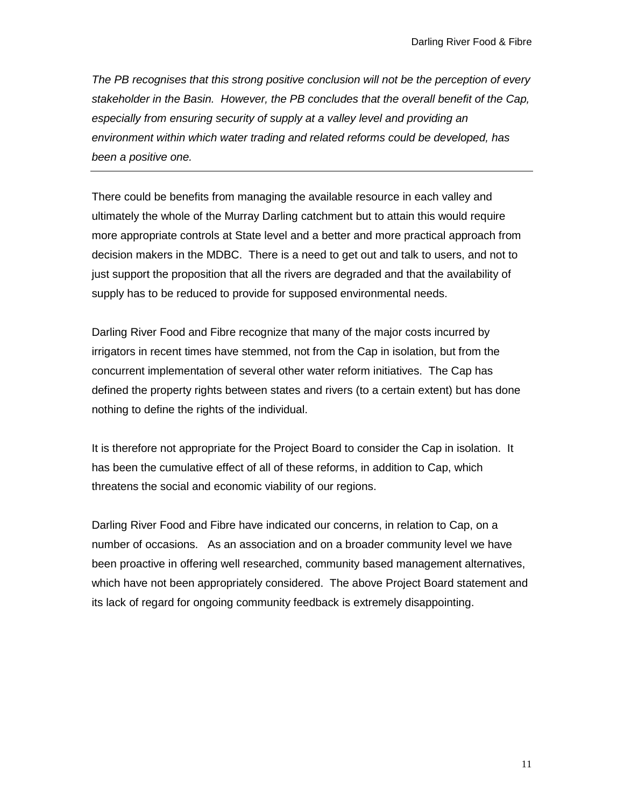*The PB recognises that this strong positive conclusion will not be the perception of every stakeholder in the Basin. However, the PB concludes that the overall benefit of the Cap, especially from ensuring security of supply at a valley level and providing an environment within which water trading and related reforms could be developed, has been a positive one.*

There could be benefits from managing the available resource in each valley and ultimately the whole of the Murray Darling catchment but to attain this would require more appropriate controls at State level and a better and more practical approach from decision makers in the MDBC. There is a need to get out and talk to users, and not to just support the proposition that all the rivers are degraded and that the availability of supply has to be reduced to provide for supposed environmental needs.

Darling River Food and Fibre recognize that many of the major costs incurred by irrigators in recent times have stemmed, not from the Cap in isolation, but from the concurrent implementation of several other water reform initiatives. The Cap has defined the property rights between states and rivers (to a certain extent) but has done nothing to define the rights of the individual.

It is therefore not appropriate for the Project Board to consider the Cap in isolation. It has been the cumulative effect of all of these reforms, in addition to Cap, which threatens the social and economic viability of our regions.

Darling River Food and Fibre have indicated our concerns, in relation to Cap, on a number of occasions. As an association and on a broader community level we have been proactive in offering well researched, community based management alternatives, which have not been appropriately considered. The above Project Board statement and its lack of regard for ongoing community feedback is extremely disappointing.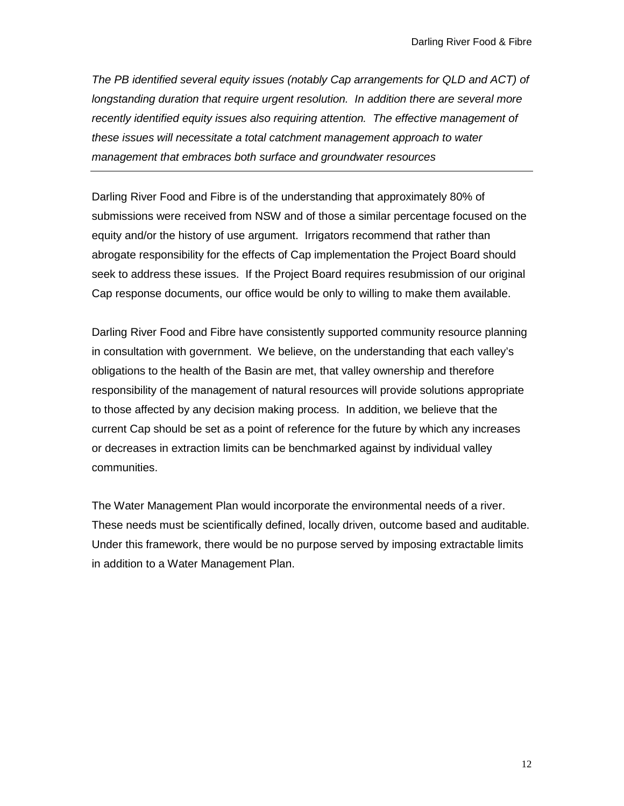*The PB identified several equity issues (notably Cap arrangements for QLD and ACT) of longstanding duration that require urgent resolution. In addition there are several more recently identified equity issues also requiring attention. The effective management of these issues will necessitate a total catchment management approach to water management that embraces both surface and groundwater resources*

Darling River Food and Fibre is of the understanding that approximately 80% of submissions were received from NSW and of those a similar percentage focused on the equity and/or the history of use argument. Irrigators recommend that rather than abrogate responsibility for the effects of Cap implementation the Project Board should seek to address these issues. If the Project Board requires resubmission of our original Cap response documents, our office would be only to willing to make them available.

Darling River Food and Fibre have consistently supported community resource planning in consultation with government. We believe, on the understanding that each valley's obligations to the health of the Basin are met, that valley ownership and therefore responsibility of the management of natural resources will provide solutions appropriate to those affected by any decision making process. In addition, we believe that the current Cap should be set as a point of reference for the future by which any increases or decreases in extraction limits can be benchmarked against by individual valley communities.

The Water Management Plan would incorporate the environmental needs of a river. These needs must be scientifically defined, locally driven, outcome based and auditable. Under this framework, there would be no purpose served by imposing extractable limits in addition to a Water Management Plan.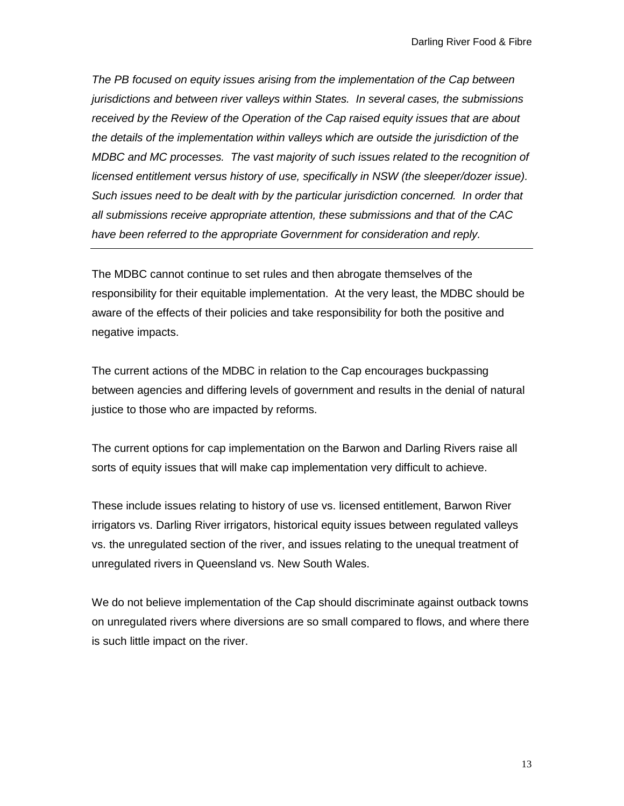*The PB focused on equity issues arising from the implementation of the Cap between jurisdictions and between river valleys within States. In several cases, the submissions received by the Review of the Operation of the Cap raised equity issues that are about the details of the implementation within valleys which are outside the jurisdiction of the MDBC and MC processes. The vast majority of such issues related to the recognition of licensed entitlement versus history of use, specifically in NSW (the sleeper/dozer issue). Such issues need to be dealt with by the particular jurisdiction concerned. In order that all submissions receive appropriate attention, these submissions and that of the CAC have been referred to the appropriate Government for consideration and reply.*

The MDBC cannot continue to set rules and then abrogate themselves of the responsibility for their equitable implementation. At the very least, the MDBC should be aware of the effects of their policies and take responsibility for both the positive and negative impacts.

The current actions of the MDBC in relation to the Cap encourages buckpassing between agencies and differing levels of government and results in the denial of natural justice to those who are impacted by reforms.

The current options for cap implementation on the Barwon and Darling Rivers raise all sorts of equity issues that will make cap implementation very difficult to achieve.

These include issues relating to history of use vs. licensed entitlement, Barwon River irrigators vs. Darling River irrigators, historical equity issues between regulated valleys vs. the unregulated section of the river, and issues relating to the unequal treatment of unregulated rivers in Queensland vs. New South Wales.

We do not believe implementation of the Cap should discriminate against outback towns on unregulated rivers where diversions are so small compared to flows, and where there is such little impact on the river.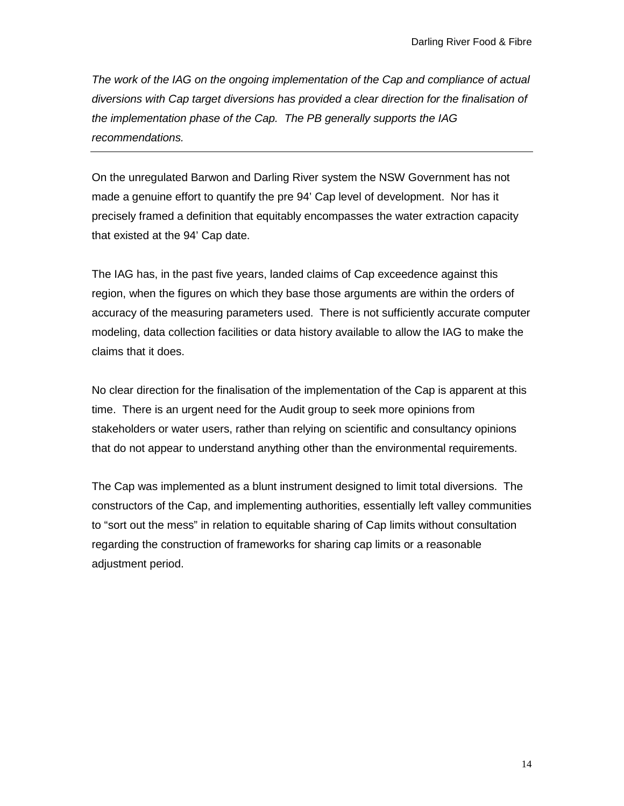*The work of the IAG on the ongoing implementation of the Cap and compliance of actual diversions with Cap target diversions has provided a clear direction for the finalisation of the implementation phase of the Cap. The PB generally supports the IAG recommendations.*

On the unregulated Barwon and Darling River system the NSW Government has not made a genuine effort to quantify the pre 94' Cap level of development. Nor has it precisely framed a definition that equitably encompasses the water extraction capacity that existed at the 94' Cap date.

The IAG has, in the past five years, landed claims of Cap exceedence against this region, when the figures on which they base those arguments are within the orders of accuracy of the measuring parameters used. There is not sufficiently accurate computer modeling, data collection facilities or data history available to allow the IAG to make the claims that it does.

No clear direction for the finalisation of the implementation of the Cap is apparent at this time. There is an urgent need for the Audit group to seek more opinions from stakeholders or water users, rather than relying on scientific and consultancy opinions that do not appear to understand anything other than the environmental requirements.

The Cap was implemented as a blunt instrument designed to limit total diversions. The constructors of the Cap, and implementing authorities, essentially left valley communities to "sort out the mess" in relation to equitable sharing of Cap limits without consultation regarding the construction of frameworks for sharing cap limits or a reasonable adjustment period.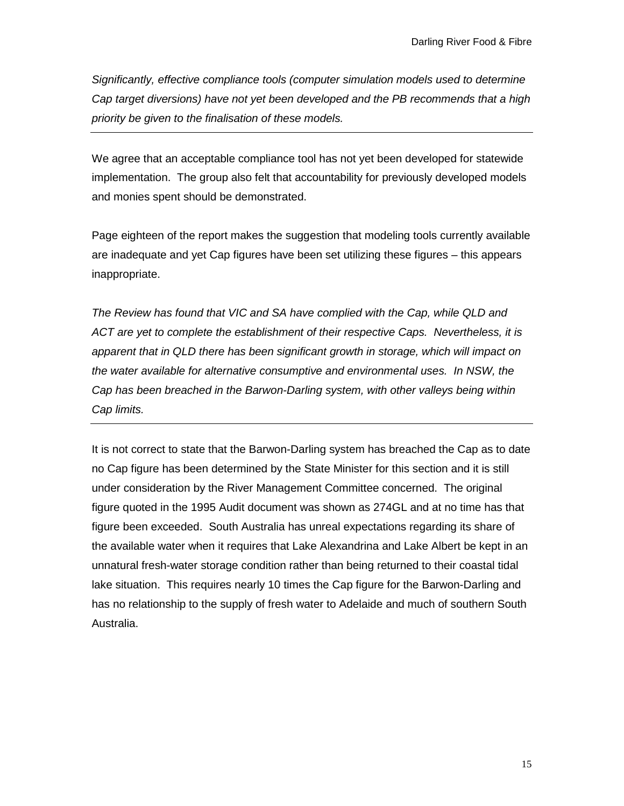*Significantly, effective compliance tools (computer simulation models used to determine Cap target diversions) have not yet been developed and the PB recommends that a high priority be given to the finalisation of these models.*

We agree that an acceptable compliance tool has not yet been developed for statewide implementation. The group also felt that accountability for previously developed models and monies spent should be demonstrated.

Page eighteen of the report makes the suggestion that modeling tools currently available are inadequate and yet Cap figures have been set utilizing these figures – this appears inappropriate.

*The Review has found that VIC and SA have complied with the Cap, while QLD and ACT are yet to complete the establishment of their respective Caps. Nevertheless, it is apparent that in QLD there has been significant growth in storage, which will impact on the water available for alternative consumptive and environmental uses. In NSW, the Cap has been breached in the Barwon-Darling system, with other valleys being within Cap limits.*

It is not correct to state that the Barwon-Darling system has breached the Cap as to date no Cap figure has been determined by the State Minister for this section and it is still under consideration by the River Management Committee concerned. The original figure quoted in the 1995 Audit document was shown as 274GL and at no time has that figure been exceeded. South Australia has unreal expectations regarding its share of the available water when it requires that Lake Alexandrina and Lake Albert be kept in an unnatural fresh-water storage condition rather than being returned to their coastal tidal lake situation. This requires nearly 10 times the Cap figure for the Barwon-Darling and has no relationship to the supply of fresh water to Adelaide and much of southern South Australia.

15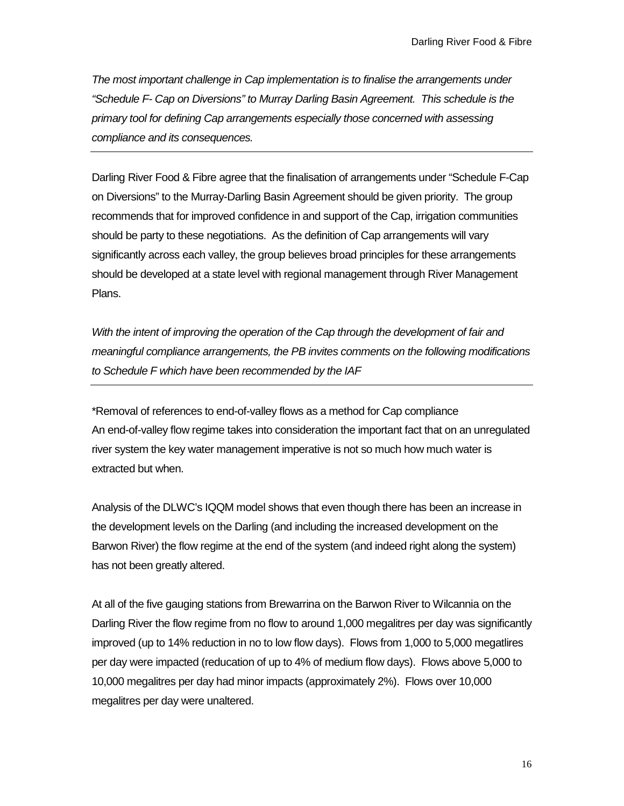*The most important challenge in Cap implementation is to finalise the arrangements under "Schedule F- Cap on Diversions" to Murray Darling Basin Agreement. This schedule is the primary tool for defining Cap arrangements especially those concerned with assessing compliance and its consequences.*

Darling River Food & Fibre agree that the finalisation of arrangements under "Schedule F-Cap on Diversions" to the Murray-Darling Basin Agreement should be given priority. The group recommends that for improved confidence in and support of the Cap, irrigation communities should be party to these negotiations. As the definition of Cap arrangements will vary significantly across each valley, the group believes broad principles for these arrangements should be developed at a state level with regional management through River Management Plans.

*With the intent of improving the operation of the Cap through the development of fair and meaningful compliance arrangements, the PB invites comments on the following modifications to Schedule F which have been recommended by the IAF*

\*Removal of references to end-of-valley flows as a method for Cap compliance An end-of-valley flow regime takes into consideration the important fact that on an unregulated river system the key water management imperative is not so much how much water is extracted but when.

Analysis of the DLWC's IQQM model shows that even though there has been an increase in the development levels on the Darling (and including the increased development on the Barwon River) the flow regime at the end of the system (and indeed right along the system) has not been greatly altered.

At all of the five gauging stations from Brewarrina on the Barwon River to Wilcannia on the Darling River the flow regime from no flow to around 1,000 megalitres per day was significantly improved (up to 14% reduction in no to low flow days). Flows from 1,000 to 5,000 megatlires per day were impacted (reducation of up to 4% of medium flow days). Flows above 5,000 to 10,000 megalitres per day had minor impacts (approximately 2%). Flows over 10,000 megalitres per day were unaltered.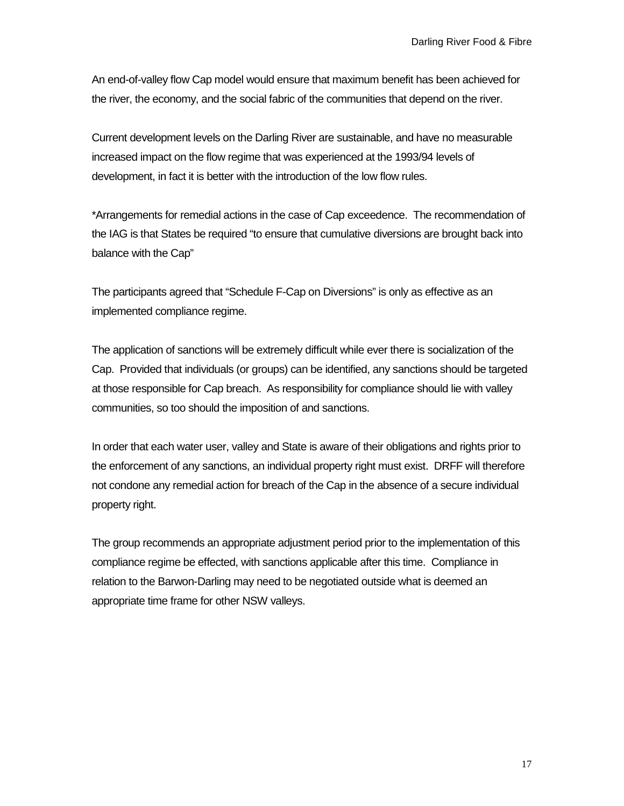An end-of-valley flow Cap model would ensure that maximum benefit has been achieved for the river, the economy, and the social fabric of the communities that depend on the river.

Current development levels on the Darling River are sustainable, and have no measurable increased impact on the flow regime that was experienced at the 1993/94 levels of development, in fact it is better with the introduction of the low flow rules.

\*Arrangements for remedial actions in the case of Cap exceedence. The recommendation of the IAG is that States be required "to ensure that cumulative diversions are brought back into balance with the Cap"

The participants agreed that "Schedule F-Cap on Diversions" is only as effective as an implemented compliance regime.

The application of sanctions will be extremely difficult while ever there is socialization of the Cap. Provided that individuals (or groups) can be identified, any sanctions should be targeted at those responsible for Cap breach. As responsibility for compliance should lie with valley communities, so too should the imposition of and sanctions.

In order that each water user, valley and State is aware of their obligations and rights prior to the enforcement of any sanctions, an individual property right must exist. DRFF will therefore not condone any remedial action for breach of the Cap in the absence of a secure individual property right.

The group recommends an appropriate adjustment period prior to the implementation of this compliance regime be effected, with sanctions applicable after this time. Compliance in relation to the Barwon-Darling may need to be negotiated outside what is deemed an appropriate time frame for other NSW valleys.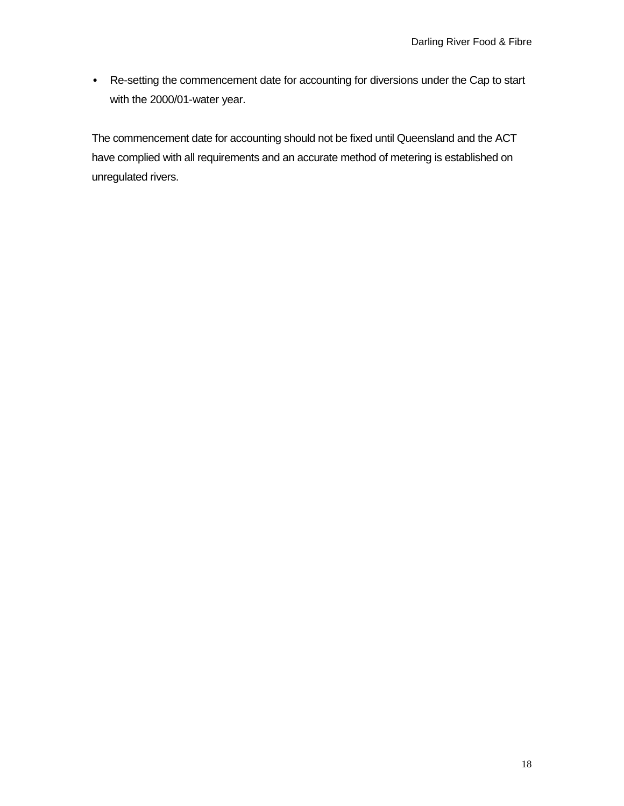• Re-setting the commencement date for accounting for diversions under the Cap to start with the 2000/01-water year.

The commencement date for accounting should not be fixed until Queensland and the ACT have complied with all requirements and an accurate method of metering is established on unregulated rivers.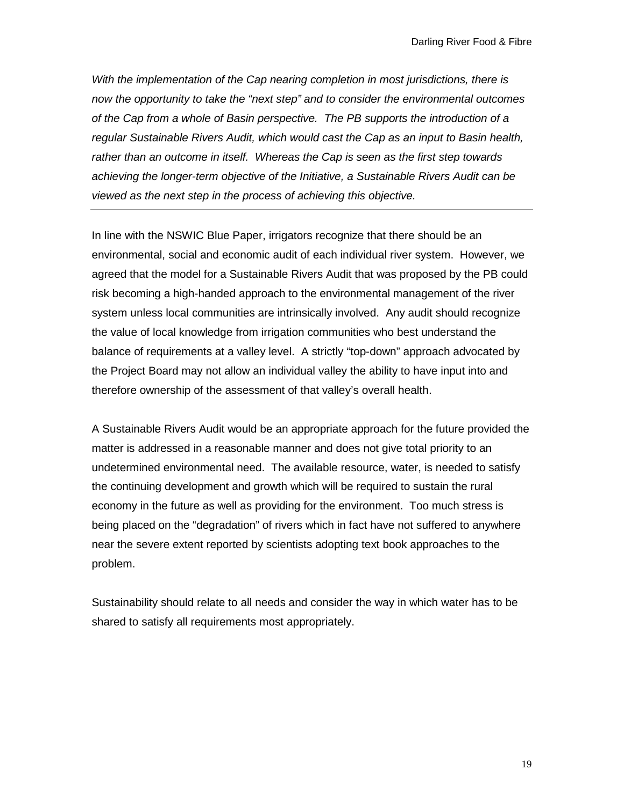*With the implementation of the Cap nearing completion in most jurisdictions, there is now the opportunity to take the "next step" and to consider the environmental outcomes of the Cap from a whole of Basin perspective. The PB supports the introduction of a regular Sustainable Rivers Audit, which would cast the Cap as an input to Basin health, rather than an outcome in itself. Whereas the Cap is seen as the first step towards achieving the longer-term objective of the Initiative, a Sustainable Rivers Audit can be viewed as the next step in the process of achieving this objective.*

In line with the NSWIC Blue Paper, irrigators recognize that there should be an environmental, social and economic audit of each individual river system. However, we agreed that the model for a Sustainable Rivers Audit that was proposed by the PB could risk becoming a high-handed approach to the environmental management of the river system unless local communities are intrinsically involved. Any audit should recognize the value of local knowledge from irrigation communities who best understand the balance of requirements at a valley level. A strictly "top-down" approach advocated by the Project Board may not allow an individual valley the ability to have input into and therefore ownership of the assessment of that valley's overall health.

A Sustainable Rivers Audit would be an appropriate approach for the future provided the matter is addressed in a reasonable manner and does not give total priority to an undetermined environmental need. The available resource, water, is needed to satisfy the continuing development and growth which will be required to sustain the rural economy in the future as well as providing for the environment. Too much stress is being placed on the "degradation" of rivers which in fact have not suffered to anywhere near the severe extent reported by scientists adopting text book approaches to the problem.

Sustainability should relate to all needs and consider the way in which water has to be shared to satisfy all requirements most appropriately.